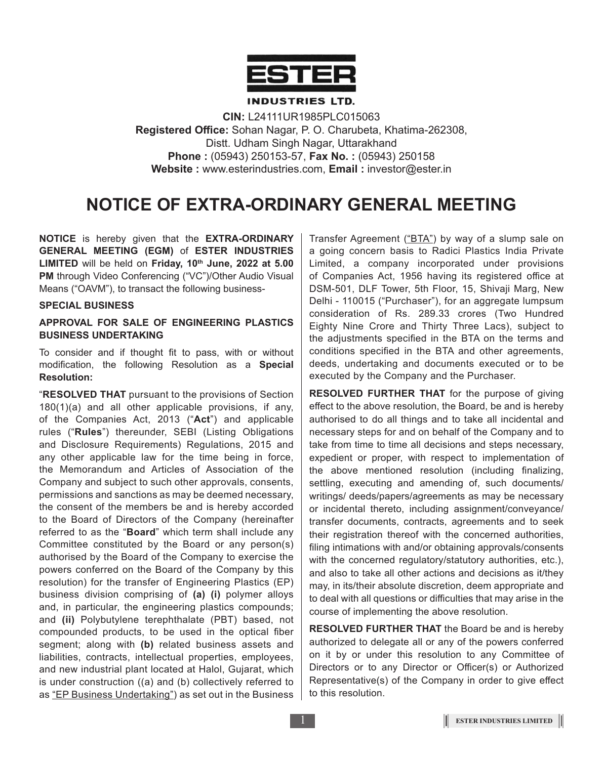

#### **INDUSTRIES LTD.**

**CIN:** L24111UR1985PLC015063 **Registered Office:** Sohan Nagar, P. O. Charubeta, Khatima-262308, Distt. Udham Singh Nagar, Uttarakhand **Phone :** (05943) 250153-57, **Fax No. :** (05943) 250158 **Website :** www.esterindustries.com, **Email :** investor@ester.in

# **NOTICE OF EXTRA-ORDINARY GENERAL MEETING**

**NOTICE** is hereby given that the **EXTRA-ORDINARY GENERAL MEETING (EGM)** of **ESTER INDUSTRIES LIMITED** will be held on **Friday, 10th June, 2022 at 5.00 PM** through Video Conferencing ("VC")/Other Audio Visual Means ("OAVM"), to transact the following business-

#### **SPECIAL BUSINESS**

## **APPROVAL FOR SALE OF ENGINEERING PLASTICS BUSINESS UNDERTAKING**

To consider and if thought fit to pass, with or without modification, the following Resolution as a **Special Resolution:**

"**RESOLVED THAT** pursuant to the provisions of Section 180(1)(a) and all other applicable provisions, if any, of the Companies Act, 2013 ("**Act**") and applicable rules ("**Rules**") thereunder, SEBI (Listing Obligations and Disclosure Requirements) Regulations, 2015 and any other applicable law for the time being in force, the Memorandum and Articles of Association of the Company and subject to such other approvals, consents, permissions and sanctions as may be deemed necessary, the consent of the members be and is hereby accorded to the Board of Directors of the Company (hereinafter referred to as the "**Board**" which term shall include any Committee constituted by the Board or any person(s) authorised by the Board of the Company to exercise the powers conferred on the Board of the Company by this resolution) for the transfer of Engineering Plastics (EP) business division comprising of **(a) (i)** polymer alloys and, in particular, the engineering plastics compounds; and **(ii)** Polybutylene terephthalate (PBT) based, not compounded products, to be used in the optical fiber segment; along with **(b)** related business assets and liabilities, contracts, intellectual properties, employees, and new industrial plant located at Halol, Gujarat, which is under construction ((a) and (b) collectively referred to as "EP Business Undertaking") as set out in the Business

Transfer Agreement ("BTA") by way of a slump sale on a going concern basis to Radici Plastics India Private Limited, a company incorporated under provisions of Companies Act, 1956 having its registered office at DSM-501, DLF Tower, 5th Floor, 15, Shivaji Marg, New Delhi - 110015 ("Purchaser"), for an aggregate lumpsum consideration of Rs. 289.33 crores (Two Hundred Eighty Nine Crore and Thirty Three Lacs), subject to the adjustments specified in the BTA on the terms and conditions specified in the BTA and other agreements, deeds, undertaking and documents executed or to be executed by the Company and the Purchaser.

**RESOLVED FURTHER THAT** for the purpose of giving effect to the above resolution, the Board, be and is hereby authorised to do all things and to take all incidental and necessary steps for and on behalf of the Company and to take from time to time all decisions and steps necessary, expedient or proper, with respect to implementation of the above mentioned resolution (including finalizing, settling, executing and amending of, such documents/ writings/ deeds/papers/agreements as may be necessary or incidental thereto, including assignment/conveyance/ transfer documents, contracts, agreements and to seek their registration thereof with the concerned authorities, filing intimations with and/or obtaining approvals/consents with the concerned regulatory/statutory authorities, etc.), and also to take all other actions and decisions as it/they may, in its/their absolute discretion, deem appropriate and to deal with all questions or difficulties that may arise in the course of implementing the above resolution.

**RESOLVED FURTHER THAT** the Board be and is hereby authorized to delegate all or any of the powers conferred on it by or under this resolution to any Committee of Directors or to any Director or Officer(s) or Authorized Representative(s) of the Company in order to give effect to this resolution.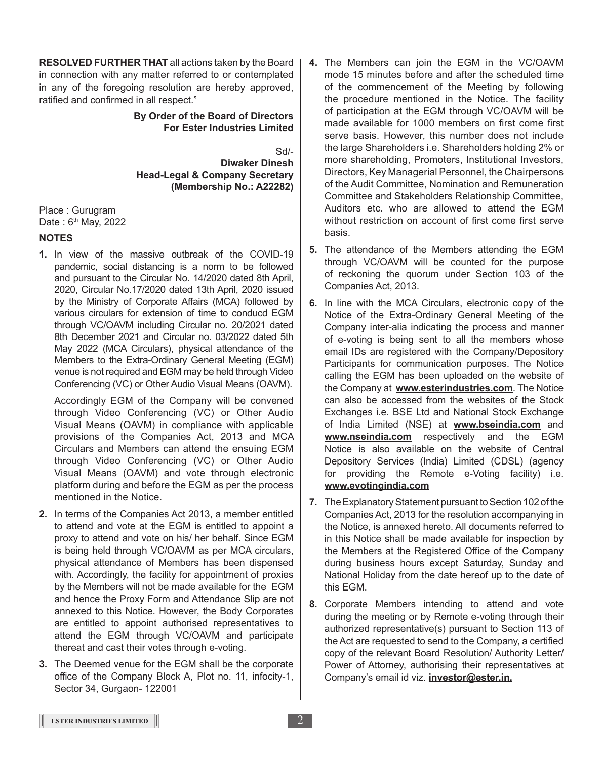**RESOLVED FURTHER THAT** all actions taken by the Board in connection with any matter referred to or contemplated in any of the foregoing resolution are hereby approved, ratified and confirmed in all respect."

#### **By Order of the Board of Directors For Ester Industries Limited**

Sd/- **Diwaker Dinesh Head-Legal & Company Secretary (Membership No.: A22282)**

Place : Gurugram Date: 6<sup>th</sup> May, 2022

# **NOTES**

**1.** In view of the massive outbreak of the COVID-19 pandemic, social distancing is a norm to be followed and pursuant to the Circular No. 14/2020 dated 8th April, 2020, Circular No.17/2020 dated 13th April, 2020 issued by the Ministry of Corporate Affairs (MCA) followed by various circulars for extension of time to conducd EGM through VC/OAVM including Circular no. 20/2021 dated 8th December 2021 and Circular no. 03/2022 dated 5th May 2022 (MCA Circulars), physical attendance of the Members to the Extra-Ordinary General Meeting (EGM) venue is not required and EGM may be held through Video Conferencing (VC) or Other Audio Visual Means (OAVM).

Accordingly EGM of the Company will be convened through Video Conferencing (VC) or Other Audio Visual Means (OAVM) in compliance with applicable provisions of the Companies Act, 2013 and MCA Circulars and Members can attend the ensuing EGM through Video Conferencing (VC) or Other Audio Visual Means (OAVM) and vote through electronic platform during and before the EGM as per the process mentioned in the Notice.

- **2.** In terms of the Companies Act 2013, a member entitled to attend and vote at the EGM is entitled to appoint a proxy to attend and vote on his/ her behalf. Since EGM is being held through VC/OAVM as per MCA circulars, physical attendance of Members has been dispensed with. Accordingly, the facility for appointment of proxies by the Members will not be made available for the EGM and hence the Proxy Form and Attendance Slip are not annexed to this Notice. However, the Body Corporates are entitled to appoint authorised representatives to attend the EGM through VC/OAVM and participate thereat and cast their votes through e-voting.
- **3.** The Deemed venue for the EGM shall be the corporate office of the Company Block A, Plot no. 11, infocity-1, Sector 34, Gurgaon- 122001
- **4.** The Members can join the EGM in the VC/OAVM mode 15 minutes before and after the scheduled time of the commencement of the Meeting by following the procedure mentioned in the Notice. The facility of participation at the EGM through VC/OAVM will be made available for 1000 members on first come first serve basis. However, this number does not include the large Shareholders i.e. Shareholders holding 2% or more shareholding, Promoters, Institutional Investors, Directors, Key Managerial Personnel, the Chairpersons of the Audit Committee, Nomination and Remuneration Committee and Stakeholders Relationship Committee, Auditors etc. who are allowed to attend the EGM without restriction on account of first come first serve basis.
- **5.** The attendance of the Members attending the EGM through VC/OAVM will be counted for the purpose of reckoning the quorum under Section 103 of the Companies Act, 2013.
- **6.** In line with the MCA Circulars, electronic copy of the Notice of the Extra-Ordinary General Meeting of the Company inter-alia indicating the process and manner of e-voting is being sent to all the members whose email IDs are registered with the Company/Depository Participants for communication purposes. The Notice calling the EGM has been uploaded on the website of the Company at **www.esterindustries.com**. The Notice can also be accessed from the websites of the Stock Exchanges i.e. BSE Ltd and National Stock Exchange of India Limited (NSE) at **www.bseindia.com** and **www.nseindia.com** respectively and the EGM Notice is also available on the website of Central Depository Services (India) Limited (CDSL) (agency for providing the Remote e-Voting facility) i.e. **www.evotingindia.com**
- **7.** The Explanatory Statement pursuant to Section 102 of the Companies Act, 2013 for the resolution accompanying in the Notice, is annexed hereto. All documents referred to in this Notice shall be made available for inspection by the Members at the Registered Office of the Company during business hours except Saturday, Sunday and National Holiday from the date hereof up to the date of this EGM.
- **8.** Corporate Members intending to attend and vote during the meeting or by Remote e-voting through their authorized representative(s) pursuant to Section 113 of the Act are requested to send to the Company, a certified copy of the relevant Board Resolution/ Authority Letter/ Power of Attorney, authorising their representatives at Company's email id viz. **investor@ester.in.**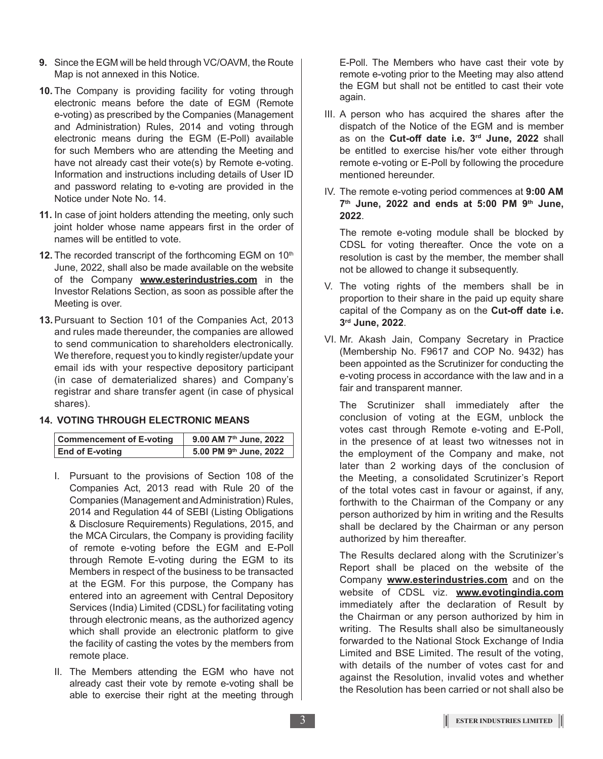- **9.** Since the EGM will be held through VC/OAVM, the Route Map is not annexed in this Notice.
- **10.** The Company is providing facility for voting through electronic means before the date of EGM (Remote e-voting) as prescribed by the Companies (Management and Administration) Rules, 2014 and voting through electronic means during the EGM (E-Poll) available for such Members who are attending the Meeting and have not already cast their vote(s) by Remote e-voting. Information and instructions including details of User ID and password relating to e-voting are provided in the Notice under Note No. 14.
- **11.** In case of joint holders attending the meeting, only such joint holder whose name appears first in the order of names will be entitled to vote.
- **12.** The recorded transcript of the forthcoming EGM on 10<sup>th</sup> June, 2022, shall also be made available on the website of the Company **www.esterindustries.com** in the Investor Relations Section, as soon as possible after the Meeting is over.
- **13.**Pursuant to Section 101 of the Companies Act, 2013 and rules made thereunder, the companies are allowed to send communication to shareholders electronically. We therefore, request you to kindly register/update your email ids with your respective depository participant (in case of dematerialized shares) and Company's registrar and share transfer agent (in case of physical shares).

## **14. VOTING THROUGH ELECTRONIC MEANS**

| <b>Commencement of E-voting</b> | 9.00 AM 7 <sup>th</sup> June, 2022 |
|---------------------------------|------------------------------------|
| End of E-voting                 | 5.00 PM 9th June, 2022             |

- I. Pursuant to the provisions of Section 108 of the Companies Act, 2013 read with Rule 20 of the Companies (Management and Administration) Rules, 2014 and Regulation 44 of SEBI (Listing Obligations & Disclosure Requirements) Regulations, 2015, and the MCA Circulars, the Company is providing facility of remote e-voting before the EGM and E-Poll through Remote E-voting during the EGM to its Members in respect of the business to be transacted at the EGM. For this purpose, the Company has entered into an agreement with Central Depository Services (India) Limited (CDSL) for facilitating voting through electronic means, as the authorized agency which shall provide an electronic platform to give the facility of casting the votes by the members from remote place.
- II. The Members attending the EGM who have not already cast their vote by remote e-voting shall be able to exercise their right at the meeting through

E-Poll. The Members who have cast their vote by remote e-voting prior to the Meeting may also attend the EGM but shall not be entitled to cast their vote again.

- III. A person who has acquired the shares after the dispatch of the Notice of the EGM and is member as on the **Cut-off date i.e. 3rd June, 2022** shall be entitled to exercise his/her vote either through remote e-voting or E-Poll by following the procedure mentioned hereunder.
- IV. The remote e-voting period commences at **9:00 am 7th June, 2022 and ends at 5:00 pm 9th June, 2022**.

The remote e-voting module shall be blocked by CDSL for voting thereafter. Once the vote on a resolution is cast by the member, the member shall not be allowed to change it subsequently.

- V. The voting rights of the members shall be in proportion to their share in the paid up equity share capital of the Company as on the **Cut-off date i.e. 3rd June, 2022**.
- VI. Mr. Akash Jain, Company Secretary in Practice (Membership No. F9617 and COP No. 9432) has been appointed as the Scrutinizer for conducting the e-voting process in accordance with the law and in a fair and transparent manner.

The Scrutinizer shall immediately after the conclusion of voting at the EGM, unblock the votes cast through Remote e-voting and E-Poll, in the presence of at least two witnesses not in the employment of the Company and make, not later than 2 working days of the conclusion of the Meeting, a consolidated Scrutinizer's Report of the total votes cast in favour or against, if any, forthwith to the Chairman of the Company or any person authorized by him in writing and the Results shall be declared by the Chairman or any person authorized by him thereafter.

The Results declared along with the Scrutinizer's Report shall be placed on the website of the Company **www.esterindustries.com** and on the website of CDSL viz. **www.evotingindia.com** immediately after the declaration of Result by the Chairman or any person authorized by him in writing. The Results shall also be simultaneously forwarded to the National Stock Exchange of India Limited and BSE Limited. The result of the voting, with details of the number of votes cast for and against the Resolution, invalid votes and whether the Resolution has been carried or not shall also be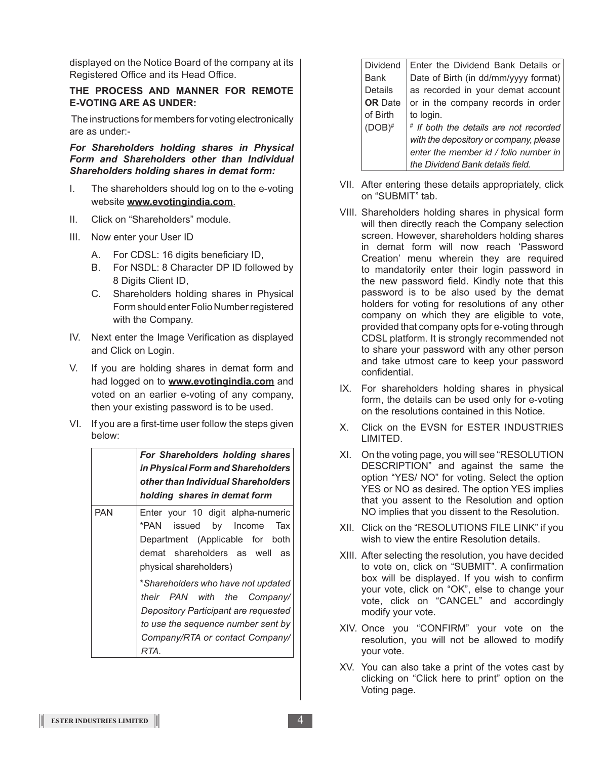displayed on the Notice Board of the company at its Registered Office and its Head Office.

#### **THE PROCESS AND MANNER FOR REMOTE E-VOTING ARE AS UNDER:**

The instructions for members for voting electronically are as under:-

*For Shareholders holding shares in Physical Form and Shareholders other than Individual Shareholders holding shares in demat form:*

- I. The shareholders should log on to the e-voting website **www.evotingindia.com**.
- II. Click on "Shareholders" module.
- III. Now enter your User ID
	- A. For CDSL: 16 digits beneficiary ID,
	- B. For NSDL: 8 Character DP ID followed by 8 Digits Client ID,
	- C. Shareholders holding shares in Physical Form should enter Folio Number registered with the Company.
- IV. Next enter the Image Verification as displayed and Click on Login.
- V. If you are holding shares in demat form and had logged on to **www.evotingindia.com** and voted on an earlier e-voting of any company, then your existing password is to be used.
- VI. If you are a first-time user follow the steps given below:

|     | For Shareholders holding shares<br>in Physical Form and Shareholders<br>other than Individual Shareholders<br>holding shares in demat form                                                 |
|-----|--------------------------------------------------------------------------------------------------------------------------------------------------------------------------------------------|
| PAN | Enter your 10 digit alpha-numeric<br>*PAN issued by Income Tax<br>Department (Applicable for both<br>demat shareholders as well as<br>physical shareholders)                               |
|     | *Shareholders who have not updated<br>their PAN with the Company/<br>Depository Participant are requested<br>to use the sequence number sent by<br>Company/RTA or contact Company/<br>RTA. |

| <b>Dividend</b> | Enter the Dividend Bank Details or     |
|-----------------|----------------------------------------|
| <b>Bank</b>     | Date of Birth (in dd/mm/yyyy format)   |
| Details         | as recorded in your demat account      |
| <b>OR</b> Date  | or in the company records in order     |
| of Birth        | to login.                              |
| $(DOB)^#$       | # If both the details are not recorded |
|                 | with the depository or company, please |
|                 | enter the member id / folio number in  |
|                 | the Dividend Bank details field.       |

- VII. After entering these details appropriately, click on "SUBMIT" tab.
- VIII. Shareholders holding shares in physical form will then directly reach the Company selection screen. However, shareholders holding shares in demat form will now reach 'Password Creation' menu wherein they are required to mandatorily enter their login password in the new password field. Kindly note that this password is to be also used by the demat holders for voting for resolutions of any other company on which they are eligible to vote, provided that company opts for e-voting through CDSL platform. It is strongly recommended not to share your password with any other person and take utmost care to keep your password confidential.
- IX. For shareholders holding shares in physical form, the details can be used only for e-voting on the resolutions contained in this Notice.
- X. Click on the EVSN for ESTER INDUSTRIES LIMITED.
- XI. On the voting page, you will see "RESOLUTION DESCRIPTION" and against the same the option "YES/ NO" for voting. Select the option YES or NO as desired. The option YES implies that you assent to the Resolution and option NO implies that you dissent to the Resolution.
- XII. Click on the "RESOLUTIONS FILE LINK" if you wish to view the entire Resolution details.
- XIII. After selecting the resolution, you have decided to vote on, click on "SUBMIT". A confirmation box will be displayed. If you wish to confirm your vote, click on "OK", else to change your vote, click on "CANCEL" and accordingly modify your vote.
- XIV. Once you "CONFIRM" your vote on the resolution, you will not be allowed to modify your vote.
- XV. You can also take a print of the votes cast by clicking on "Click here to print" option on the Voting page.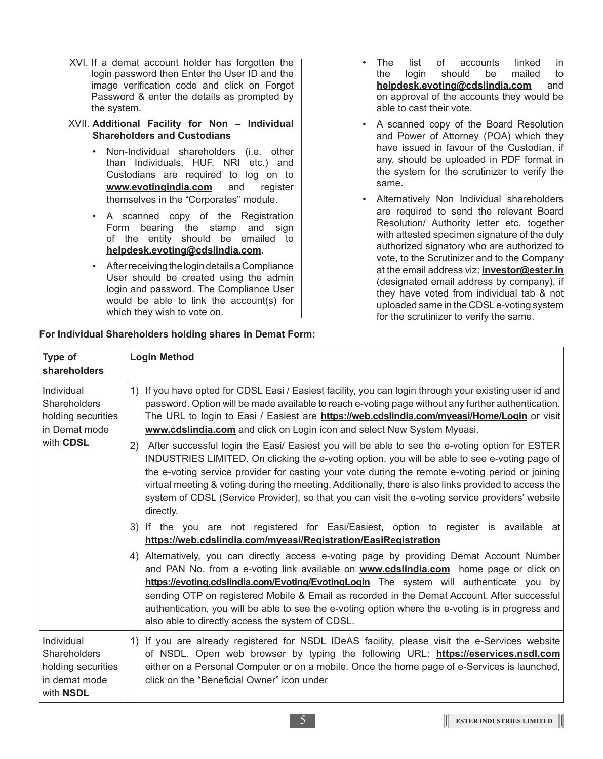- XVI. If a demat account holder has forgotten the login password then Enter the User ID and the image verification code and click on Forgot Password & enter the details as prompted by the system.
- XVII. **Additional Facility for Non Individual Shareholders and Custodians**
	- Non-Individual shareholders (i.e. other than Individuals, HUF, NRI etc.) and Custodians are required to log on to **www.evotingindia.com** and register themselves in the "Corporates" module.
	- A scanned copy of the Registration Form bearing the stamp and sign of the entity should be emailed to **helpdesk.evoting@cdslindia.com**.
	- After receiving the login details a Compliance User should be created using the admin login and password. The Compliance User would be able to link the account(s) for which they wish to vote on.
- The list of accounts linked in<br>the login should be mailed to the login should be mailed to **helpdesk.evoting@cdslindia.com** and on approval of the accounts they would be able to cast their vote.
- A scanned copy of the Board Resolution and Power of Attorney (POA) which they have issued in favour of the Custodian, if any, should be uploaded in PDF format in the system for the scrutinizer to verify the same.
- Alternatively Non Individual shareholders are required to send the relevant Board Resolution/ Authority letter etc. together with attested specimen signature of the duly authorized signatory who are authorized to vote, to the Scrutinizer and to the Company at the email address viz; **investor@ester.in** (designated email address by company), if they have voted from individual tab & not uploaded same in the CDSL e-voting system for the scrutinizer to verify the same.

| Type of<br>shareholders                                                               | <b>Login Method</b>                                                                                                                                                                                                                                                                                                                                                                                                                                                                                                                                                                                                                                                                                                                                                                                                                                                                                                                                                                                                                                                                                                                                                                                                                                                                                                                                                                                                                                                                                                                                                                                                                         |
|---------------------------------------------------------------------------------------|---------------------------------------------------------------------------------------------------------------------------------------------------------------------------------------------------------------------------------------------------------------------------------------------------------------------------------------------------------------------------------------------------------------------------------------------------------------------------------------------------------------------------------------------------------------------------------------------------------------------------------------------------------------------------------------------------------------------------------------------------------------------------------------------------------------------------------------------------------------------------------------------------------------------------------------------------------------------------------------------------------------------------------------------------------------------------------------------------------------------------------------------------------------------------------------------------------------------------------------------------------------------------------------------------------------------------------------------------------------------------------------------------------------------------------------------------------------------------------------------------------------------------------------------------------------------------------------------------------------------------------------------|
| Individual<br>Shareholders<br>holding securities<br>in Demat mode<br>with CDSL        | 1) If you have opted for CDSL Easi / Easiest facility, you can login through your existing user id and<br>password. Option will be made available to reach e-voting page without any further authentication.<br>The URL to login to Easi / Easiest are <b>https://web.cdslindia.com/myeasi/Home/Login</b> or visit<br>www.cdslindia.com and click on Login icon and select New System Myeasi.<br>2) After successful login the Easi/ Easiest you will be able to see the e-voting option for ESTER<br>INDUSTRIES LIMITED. On clicking the e-voting option, you will be able to see e-voting page of<br>the e-voting service provider for casting your vote during the remote e-voting period or joining<br>virtual meeting & voting during the meeting. Additionally, there is also links provided to access the<br>system of CDSL (Service Provider), so that you can visit the e-voting service providers' website<br>directly.<br>3) If the you are not registered for Easi/Easiest, option to register is available at<br>https://web.cdslindia.com/myeasi/Registration/EasiRegistration<br>4) Alternatively, you can directly access e-voting page by providing Demat Account Number<br>and PAN No. from a e-voting link available on <b>www.cdslindia.com</b> home page or click on<br>https://evoting.cdslindia.com/Evoting/EvotingLogin The system will authenticate you by<br>sending OTP on registered Mobile & Email as recorded in the Demat Account. After successful<br>authentication, you will be able to see the e-voting option where the e-voting is in progress and<br>also able to directly access the system of CDSL. |
| Individual<br>Shareholders<br>holding securities<br>in demat mode<br>with <b>NSDL</b> | 1) If you are already registered for NSDL IDeAS facility, please visit the e-Services website<br>of NSDL. Open web browser by typing the following URL: https://eservices.nsdl.com<br>either on a Personal Computer or on a mobile. Once the home page of e-Services is launched,<br>click on the "Beneficial Owner" icon under                                                                                                                                                                                                                                                                                                                                                                                                                                                                                                                                                                                                                                                                                                                                                                                                                                                                                                                                                                                                                                                                                                                                                                                                                                                                                                             |

# **For Individual Shareholders holding shares in Demat Form:**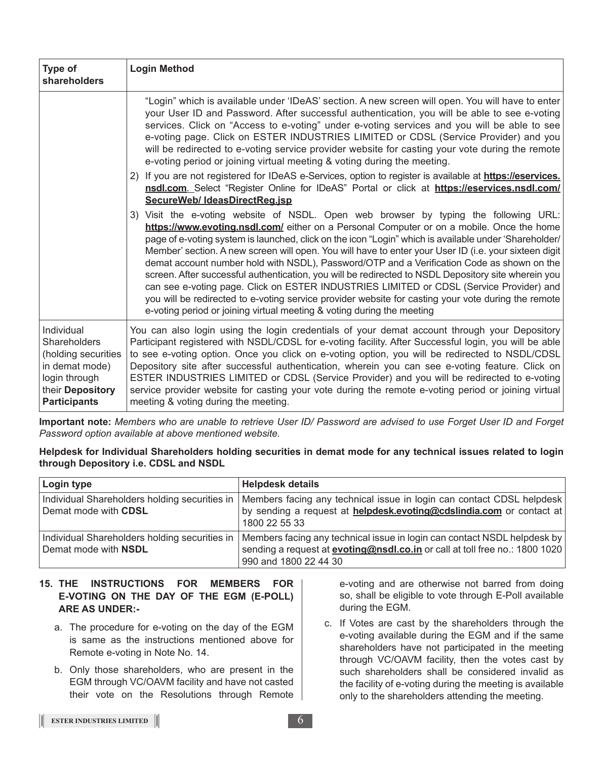| Type of<br>shareholders                                                                                                         | <b>Login Method</b>                                                                                                                                                                                                                                                                                                                                                                                                                                                                                                                                                                                                                                                                                                                                                                                                                                                                  |
|---------------------------------------------------------------------------------------------------------------------------------|--------------------------------------------------------------------------------------------------------------------------------------------------------------------------------------------------------------------------------------------------------------------------------------------------------------------------------------------------------------------------------------------------------------------------------------------------------------------------------------------------------------------------------------------------------------------------------------------------------------------------------------------------------------------------------------------------------------------------------------------------------------------------------------------------------------------------------------------------------------------------------------|
|                                                                                                                                 | "Login" which is available under 'IDeAS' section. A new screen will open. You will have to enter<br>your User ID and Password. After successful authentication, you will be able to see e-voting<br>services. Click on "Access to e-voting" under e-voting services and you will be able to see<br>e-voting page. Click on ESTER INDUSTRIES LIMITED or CDSL (Service Provider) and you<br>will be redirected to e-voting service provider website for casting your vote during the remote<br>e-voting period or joining virtual meeting & voting during the meeting.                                                                                                                                                                                                                                                                                                                 |
|                                                                                                                                 | 2) If you are not registered for IDeAS e-Services, option to register is available at https://eservices.<br>nsdl.com. Select "Register Online for IDeAS" Portal or click at https://eservices.nsdl.com/<br>SecureWeb/ IdeasDirectReg.jsp                                                                                                                                                                                                                                                                                                                                                                                                                                                                                                                                                                                                                                             |
|                                                                                                                                 | 3) Visit the e-voting website of NSDL. Open web browser by typing the following URL:<br>https://www.evoting.nsdl.com/ either on a Personal Computer or on a mobile. Once the home<br>page of e-voting system is launched, click on the icon "Login" which is available under 'Shareholder/<br>Member' section. A new screen will open. You will have to enter your User ID (i.e. your sixteen digit<br>demat account number hold with NSDL), Password/OTP and a Verification Code as shown on the<br>screen. After successful authentication, you will be redirected to NSDL Depository site wherein you<br>can see e-voting page. Click on ESTER INDUSTRIES LIMITED or CDSL (Service Provider) and<br>you will be redirected to e-voting service provider website for casting your vote during the remote<br>e-voting period or joining virtual meeting & voting during the meeting |
| Individual<br>Shareholders<br>(holding securities<br>in demat mode)<br>login through<br>their Depository<br><b>Participants</b> | You can also login using the login credentials of your demat account through your Depository<br>Participant registered with NSDL/CDSL for e-voting facility. After Successful login, you will be able<br>to see e-voting option. Once you click on e-voting option, you will be redirected to NSDL/CDSL<br>Depository site after successful authentication, wherein you can see e-voting feature. Click on<br>ESTER INDUSTRIES LIMITED or CDSL (Service Provider) and you will be redirected to e-voting<br>service provider website for casting your vote during the remote e-voting period or joining virtual<br>meeting & voting during the meeting.                                                                                                                                                                                                                              |

**Important note:** *Members who are unable to retrieve User ID/ Password are advised to use Forget User ID and Forget Password option available at above mentioned website.*

**Helpdesk for Individual Shareholders holding securities in demat mode for any technical issues related to login through Depository i.e. CDSL and NSDL**

| Login type                  | <b>Helpdesk details</b>                                                                                                                                                                                                                |
|-----------------------------|----------------------------------------------------------------------------------------------------------------------------------------------------------------------------------------------------------------------------------------|
| Demat mode with <b>CDSL</b> | Individual Shareholders holding securities in   Members facing any technical issue in login can contact CDSL helpdesk<br>by sending a request at <b>helpdesk.evoting@cdslindia.com</b> or contact at<br>1800 22 55 33                  |
| Demat mode with NSDL        | Individual Shareholders holding securities in  Members facing any technical issue in login can contact NSDL helpdesk by<br>sending a request at <b>evoting@nsdl.co.in</b> or call at toll free no.: 1800 1020<br>990 and 1800 22 44 30 |

# **15. THE INSTRUCTIONS FOR MEMBERS FOR E-VOTING ON THE DAY OF THE EGM (E-POLL) ARE AS UNDER:-**

- a. The procedure for e-voting on the day of the EGM is same as the instructions mentioned above for Remote e-voting in Note No. 14.
- b. Only those shareholders, who are present in the EGM through VC/OAVM facility and have not casted their vote on the Resolutions through Remote

e-voting and are otherwise not barred from doing so, shall be eligible to vote through E-Poll available during the EGM.

c. If Votes are cast by the shareholders through the e-voting available during the EGM and if the same shareholders have not participated in the meeting through VC/OAVM facility, then the votes cast by such shareholders shall be considered invalid as the facility of e-voting during the meeting is available only to the shareholders attending the meeting.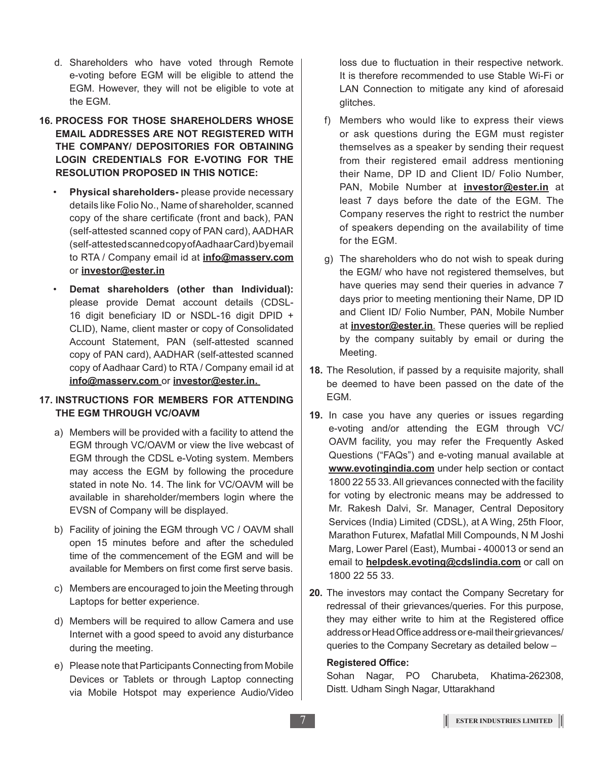- d. Shareholders who have voted through Remote e-voting before EGM will be eligible to attend the EGM. However, they will not be eligible to vote at the EGM.
- **16. PROCESS FOR THOSE SHAREHOLDERS WHOSE EMAIL ADDRESSES ARE NOT REGISTERED WITH THE COMPANY/ DEPOSITORIES FOR OBTAINING LOGIN CREDENTIALS FOR E-VOTING FOR THE RESOLUTION PROPOSED IN THIS NOTICE:** 
	- **Physical shareholders-** please provide necessary details like Folio No., Name of shareholder, scanned copy of the share certificate (front and back), PAN (self-attested scanned copy of PAN card), AADHAR (self-attested scanned copy of Aadhaar Card) by email to RTA / Company email id at **info@masserv.com** or **investor@ester.in**
	- **Demat shareholders (other than Individual):**  please provide Demat account details (CDSL-16 digit beneficiary ID or NSDL-16 digit DPID + CLID), Name, client master or copy of Consolidated Account Statement, PAN (self-attested scanned copy of PAN card), AADHAR (self-attested scanned copy of Aadhaar Card) to RTA / Company email id at **info@masserv.com** or **investor@ester.in.**

## **17. INSTRUCTIONS FOR MEMBERS FOR ATTENDING THE EGM THROUGH VC/OAVM**

- a) Members will be provided with a facility to attend the EGM through VC/OAVM or view the live webcast of EGM through the CDSL e-Voting system. Members may access the EGM by following the procedure stated in note No. 14. The link for VC/OAVM will be available in shareholder/members login where the EVSN of Company will be displayed.
- b) Facility of joining the EGM through VC / OAVM shall open 15 minutes before and after the scheduled time of the commencement of the EGM and will be available for Members on first come first serve basis.
- c) Members are encouraged to join the Meeting through Laptops for better experience.
- d) Members will be required to allow Camera and use Internet with a good speed to avoid any disturbance during the meeting.
- e) Please note that Participants Connecting from Mobile Devices or Tablets or through Laptop connecting via Mobile Hotspot may experience Audio/Video

loss due to fluctuation in their respective network. It is therefore recommended to use Stable Wi-Fi or LAN Connection to mitigate any kind of aforesaid glitches.

- f) Members who would like to express their views or ask questions during the EGM must register themselves as a speaker by sending their request from their registered email address mentioning their Name, DP ID and Client ID/ Folio Number, PAN, Mobile Number at **investor@ester.in** at least 7 days before the date of the EGM. The Company reserves the right to restrict the number of speakers depending on the availability of time for the EGM.
- g) The shareholders who do not wish to speak during the EGM/ who have not registered themselves, but have queries may send their queries in advance 7 days prior to meeting mentioning their Name, DP ID and Client ID/ Folio Number, PAN, Mobile Number at **investor@ester.in**. These queries will be replied by the company suitably by email or during the Meeting.
- **18.** The Resolution, if passed by a requisite majority, shall be deemed to have been passed on the date of the EGM.
- **19.** In case you have any queries or issues regarding e-voting and/or attending the EGM through VC/ OAVM facility, you may refer the Frequently Asked Questions ("FAQs") and e-voting manual available at **www.evotingindia.com** under help section or contact 1800 22 55 33. All grievances connected with the facility for voting by electronic means may be addressed to Mr. Rakesh Dalvi, Sr. Manager, Central Depository Services (India) Limited (CDSL), at A Wing, 25th Floor, Marathon Futurex, Mafatlal Mill Compounds, N M Joshi Marg, Lower Parel (East), Mumbai - 400013 or send an email to **helpdesk.evoting@cdslindia.com** or call on 1800 22 55 33.
- **20.** The investors may contact the Company Secretary for redressal of their grievances/queries. For this purpose, they may either write to him at the Registered office address or Head Office address or e-mail their grievances/ queries to the Company Secretary as detailed below –

## **Registered Office:**

Sohan Nagar, PO Charubeta, Khatima-262308, Distt. Udham Singh Nagar, Uttarakhand